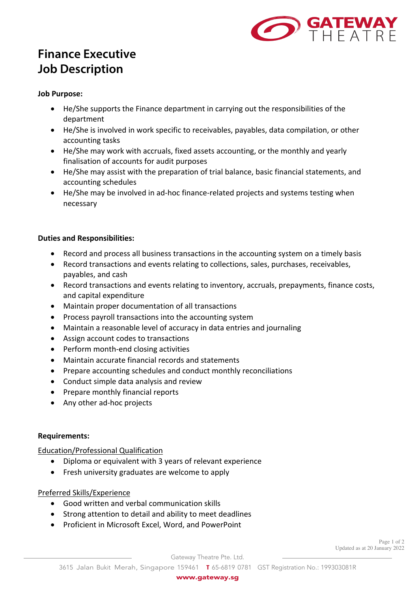

# **Finance Executive Job Description**

#### **Job Purpose:**

- He/She supports the Finance department in carrying out the responsibilities of the department
- He/She is involved in work specific to receivables, payables, data compilation, or other accounting tasks
- He/She may work with accruals, fixed assets accounting, or the monthly and yearly finalisation of accounts for audit purposes
- He/She may assist with the preparation of trial balance, basic financial statements, and accounting schedules
- He/She may be involved in ad-hoc finance-related projects and systems testing when necessary

#### **Duties and Responsibilities:**

- Record and process all business transactions in the accounting system on a timely basis
- Record transactions and events relating to collections, sales, purchases, receivables, payables, and cash
- Record transactions and events relating to inventory, accruals, prepayments, finance costs, and capital expenditure
- Maintain proper documentation of all transactions
- Process payroll transactions into the accounting system
- Maintain a reasonable level of accuracy in data entries and journaling
- Assign account codes to transactions
- Perform month-end closing activities
- Maintain accurate financial records and statements
- Prepare accounting schedules and conduct monthly reconciliations
- Conduct simple data analysis and review
- Prepare monthly financial reports
- Any other ad-hoc projects

### **Requirements:**

Education/Professional Qualification

- Diploma or equivalent with 3 years of relevant experience
- Fresh university graduates are welcome to apply

### Preferred Skills/Experience

- Good written and verbal communication skills
- Strong attention to detail and ability to meet deadlines
- Proficient in Microsoft Excel, Word, and PowerPoint

Page 1 of 2 Updated as at 20 January 2022

Gateway Theatre Pte. Ltd.